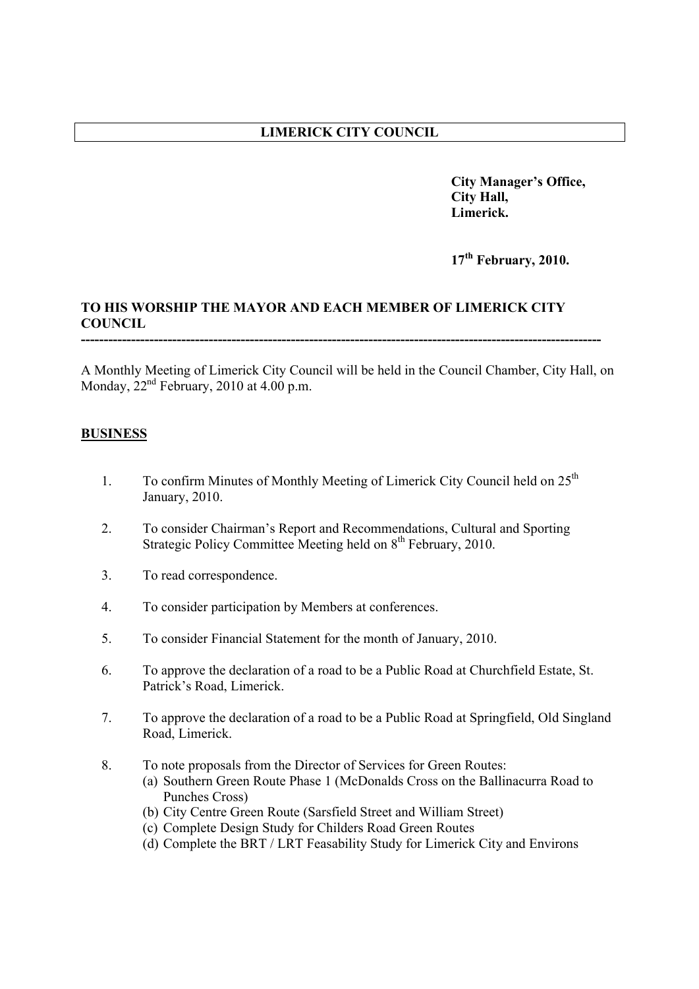# **LIMERICK CITY COUNCIL**

**City Manager's Office, City Hall, Limerick.**

**17th February, 2010.** 

## **TO HIS WORSHIP THE MAYOR AND EACH MEMBER OF LIMERICK CITY COUNCIL ------------------------------------------------------------------------------------------------------------------**

A Monthly Meeting of Limerick City Council will be held in the Council Chamber, City Hall, on Monday,  $22<sup>nd</sup>$  February, 2010 at 4.00 p.m.

## **BUSINESS**

- 1. To confirm Minutes of Monthly Meeting of Limerick City Council held on 25<sup>th</sup> January, 2010.
- 2. To consider Chairman's Report and Recommendations, Cultural and Sporting Strategic Policy Committee Meeting held on 8<sup>th</sup> February, 2010.
- 3. To read correspondence.
- 4. To consider participation by Members at conferences.
- 5. To consider Financial Statement for the month of January, 2010.
- 6. To approve the declaration of a road to be a Public Road at Churchfield Estate, St. Patrick's Road, Limerick.
- 7. To approve the declaration of a road to be a Public Road at Springfield, Old Singland Road, Limerick.
- 8. To note proposals from the Director of Services for Green Routes:
	- (a) Southern Green Route Phase 1 (McDonalds Cross on the Ballinacurra Road to Punches Cross)
	- (b) City Centre Green Route (Sarsfield Street and William Street)
	- (c) Complete Design Study for Childers Road Green Routes
	- (d) Complete the BRT / LRT Feasability Study for Limerick City and Environs